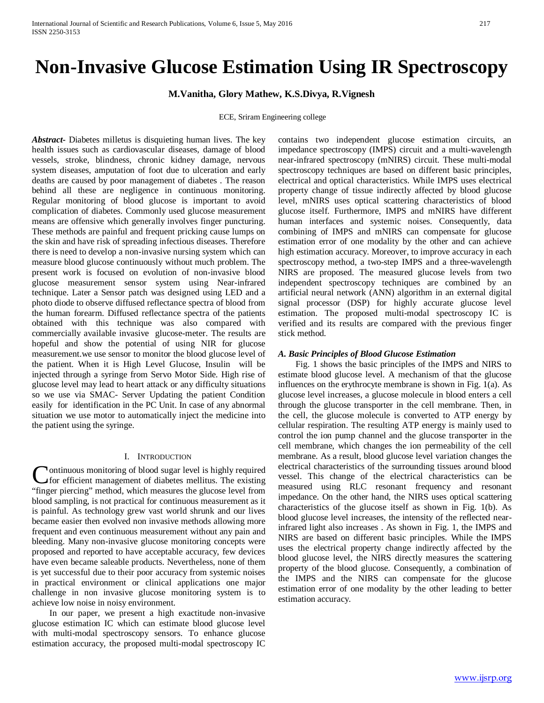# **Non-Invasive Glucose Estimation Using IR Spectroscopy**

**M.Vanitha, Glory Mathew, K.S.Divya, R.Vignesh**

ECE, Sriram Engineering college

*Abstract***-** Diabetes milletus is disquieting human lives. The key health issues such as cardiovascular diseases, damage of blood vessels, stroke, blindness, chronic kidney damage, nervous system diseases, amputation of foot due to ulceration and early deaths are caused by poor management of diabetes . The reason behind all these are negligence in continuous monitoring. Regular monitoring of blood glucose is important to avoid complication of diabetes. Commonly used glucose measurement means are offensive which generally involves finger puncturing. These methods are painful and frequent pricking cause lumps on the skin and have risk of spreading infectious diseases. Therefore there is need to develop a non-invasive nursing system which can measure blood glucose continuously without much problem. The present work is focused on evolution of non-invasive blood glucose measurement sensor system using Near-infrared technique. Later a Sensor patch was designed using LED and a photo diode to observe diffused reflectance spectra of blood from the human forearm. Diffused reflectance spectra of the patients obtained with this technique was also compared with commercially available invasive glucose-meter. The results are hopeful and show the potential of using NIR for glucose measurement.we use sensor to monitor the blood glucose level of the patient. When it is High Level Glucose, Insulin will be injected through a syringe from Servo Motor Side. High rise of glucose level may lead to heart attack or any difficulty situations so we use via SMAC- Server Updating the patient Condition easily for identification in the PC Unit. In case of any abnormal situation we use motor to automatically inject the medicine into the patient using the syringe.

#### I. INTRODUCTION

ontinuous monitoring of blood sugar level is highly required **for efficient management of diabetes mellitus. The existing** "finger piercing" method, which measures the glucose level from blood sampling, is not practical for continuous measurement as it is painful. As technology grew vast world shrunk and our lives became easier then evolved non invasive methods allowing more frequent and even continuous measurement without any pain and bleeding. Many non-invasive glucose monitoring concepts were proposed and reported to have acceptable accuracy, few devices have even became saleable products. Nevertheless, none of them is yet successful due to their poor accuracy from systemic noises in practical environment or clinical applications one major challenge in non invasive glucose monitoring system is to achieve low noise in noisy environment.

 In our paper, we present a high exactitude non-invasive glucose estimation IC which can estimate blood glucose level with multi-modal spectroscopy sensors. To enhance glucose estimation accuracy, the proposed multi-modal spectroscopy IC contains two independent glucose estimation circuits, an impedance spectroscopy (IMPS) circuit and a multi-wavelength near-infrared spectroscopy (mNIRS) circuit. These multi-modal spectroscopy techniques are based on different basic principles, electrical and optical characteristics. While IMPS uses electrical property change of tissue indirectly affected by blood glucose level, mNIRS uses optical scattering characteristics of blood glucose itself. Furthermore, IMPS and mNIRS have different human interfaces and systemic noises. Consequently, data combining of IMPS and mNIRS can compensate for glucose estimation error of one modality by the other and can achieve high estimation accuracy. Moreover, to improve accuracy in each spectroscopy method, a two-step IMPS and a three-wavelength NIRS are proposed. The measured glucose levels from two independent spectroscopy techniques are combined by an artificial neural network (ANN) algorithm in an external digital signal processor (DSP) for highly accurate glucose level estimation. The proposed multi-modal spectroscopy IC is verified and its results are compared with the previous finger stick method.

#### *A. Basic Principles of Blood Glucose Estimation*

 Fig. 1 shows the basic principles of the IMPS and NIRS to estimate blood glucose level. A mechanism of that the glucose influences on the erythrocyte membrane is shown in Fig. 1(a). As glucose level increases, a glucose molecule in blood enters a cell through the glucose transporter in the cell membrane. Then, in the cell, the glucose molecule is converted to ATP energy by cellular respiration. The resulting ATP energy is mainly used to control the ion pump channel and the glucose transporter in the cell membrane, which changes the ion permeability of the cell membrane. As a result, blood glucose level variation changes the electrical characteristics of the surrounding tissues around blood vessel. This change of the electrical characteristics can be measured using RLC resonant frequency and resonant impedance. On the other hand, the NIRS uses optical scattering characteristics of the glucose itself as shown in Fig. 1(b). As blood glucose level increases, the intensity of the reflected nearinfrared light also increases . As shown in Fig. 1, the IMPS and NIRS are based on different basic principles. While the IMPS uses the electrical property change indirectly affected by the blood glucose level, the NIRS directly measures the scattering property of the blood glucose. Consequently, a combination of the IMPS and the NIRS can compensate for the glucose estimation error of one modality by the other leading to better estimation accuracy.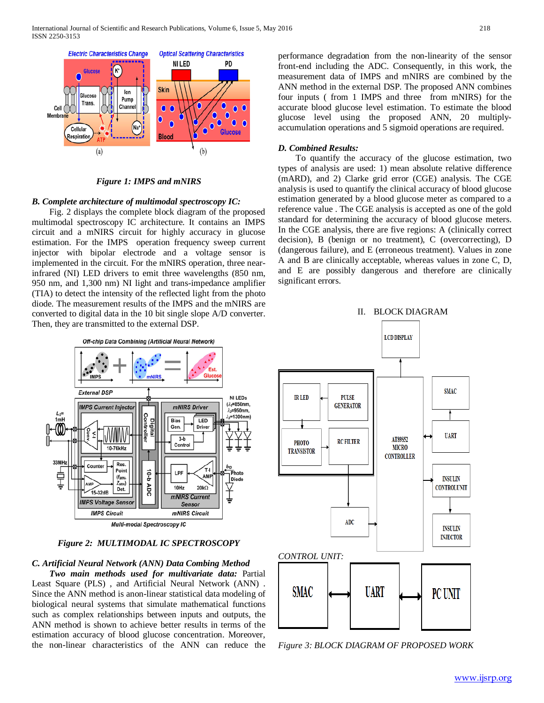

*Figure 1: IMPS and mNIRS*

### *B. Complete architecture of multimodal spectroscopy IC:*

 Fig. 2 displays the complete block diagram of the proposed multimodal spectroscopy IC architecture. It contains an IMPS circuit and a mNIRS circuit for highly accuracy in glucose estimation. For the IMPS operation frequency sweep current injector with bipolar electrode and a voltage sensor is implemented in the circuit. For the mNIRS operation, three nearinfrared (NI) LED drivers to emit three wavelengths (850 nm, 950 nm, and 1,300 nm) NI light and trans-impedance amplifier (TIA) to detect the intensity of the reflected light from the photo diode. The measurement results of the IMPS and the mNIRS are converted to digital data in the 10 bit single slope A/D converter. Then, they are transmitted to the external DSP.





#### *C. Artificial Neural Network (ANN) Data Combing Method*

 *Two main methods used for multivariate data:* Partial Least Square (PLS) , and Artificial Neural Network (ANN) . Since the ANN method is anon-linear statistical data modeling of biological neural systems that simulate mathematical functions such as complex relationships between inputs and outputs, the ANN method is shown to achieve better results in terms of the estimation accuracy of blood glucose concentration. Moreover, the non-linear characteristics of the ANN can reduce the performance degradation from the non-linearity of the sensor front-end including the ADC. Consequently, in this work, the measurement data of IMPS and mNIRS are combined by the ANN method in the external DSP. The proposed ANN combines four inputs ( from 1 IMPS and three from mNIRS) for the accurate blood glucose level estimation. To estimate the blood glucose level using the proposed ANN, 20 multiplyaccumulation operations and 5 sigmoid operations are required.

#### *D. Combined Results:*

 To quantify the accuracy of the glucose estimation, two types of analysis are used: 1) mean absolute relative difference (mARD), and 2) Clarke grid error (CGE) analysis. The CGE analysis is used to quantify the clinical accuracy of blood glucose estimation generated by a blood glucose meter as compared to a reference value . The CGE analysis is accepted as one of the gold standard for determining the accuracy of blood glucose meters. In the CGE analysis, there are five regions: A (clinically correct decision), B (benign or no treatment), C (overcorrecting), D (dangerous failure), and E (erroneous treatment). Values in zone A and B are clinically acceptable, whereas values in zone C, D, and E are possibly dangerous and therefore are clinically significant errors.

## II. BLOCK DIAGRAM



*Figure 3: BLOCK DIAGRAM OF PROPOSED WORK*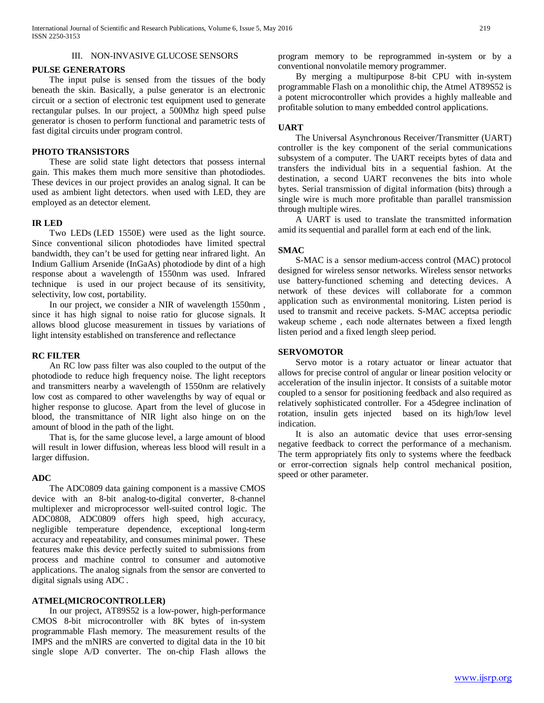#### III. NON-INVASIVE GLUCOSE SENSORS

#### **PULSE GENERATORS**

 The input pulse is sensed from the tissues of the body beneath the skin. Basically, a pulse generator is an electronic circuit or a section of electronic test equipment used to generate rectangular pulses. In our project, a 500Mhz high speed pulse generator is chosen to perform functional and parametric tests of fast digital circuits under program control.

## **PHOTO TRANSISTORS**

 These are solid state light detectors that possess internal gain. This makes them much more sensitive than photodiodes. These devices in our project provides an analog signal. It can be used as ambient light detectors. when used with LED, they are employed as an detector element.

#### **IR LED**

 Two LEDs (LED 1550E) were used as the light source. Since conventional silicon photodiodes have limited spectral bandwidth, they can't be used for getting near infrared light. An Indium Gallium Arsenide (InGaAs) photodiode by dint of a high response about a wavelength of 1550nm was used. Infrared technique is used in our project because of its sensitivity, selectivity, low cost, portability.

 In our project, we consider a NIR of wavelength 1550nm , since it has high signal to noise ratio for glucose signals. It allows blood glucose measurement in tissues by variations of light intensity established on transference and reflectance

#### **RC FILTER**

 An RC low pass filter was also coupled to the output of the photodiode to reduce high frequency noise. The light receptors and transmitters nearby a wavelength of 1550nm are relatively low cost as compared to other wavelengths by way of equal or higher response to glucose. Apart from the level of glucose in blood, the transmittance of NIR light also hinge on on the amount of blood in the path of the light.

 That is, for the same glucose level, a large amount of blood will result in lower diffusion, whereas less blood will result in a larger diffusion.

#### **ADC**

 The ADC0809 data gaining component is a massive CMOS device with an 8-bit analog-to-digital converter, 8-channel multiplexer and microprocessor well-suited control logic. The ADC0808, ADC0809 offers high speed, high accuracy, negligible temperature dependence, exceptional long-term accuracy and repeatability, and consumes minimal power. These features make this device perfectly suited to submissions from process and machine control to consumer and automotive applications. The analog signals from the sensor are converted to digital signals using ADC .

## **ATMEL(MICROCONTROLLER)**

 In our project, AT89S52 is a low-power, high-performance CMOS 8-bit microcontroller with 8K bytes of in-system programmable Flash memory. The measurement results of the IMPS and the mNIRS are converted to digital data in the 10 bit single slope A/D converter. The on-chip Flash allows the

program memory to be reprogrammed in-system or by a conventional nonvolatile memory programmer.

 By merging a multipurpose 8-bit CPU with in-system programmable Flash on a monolithic chip, the Atmel AT89S52 is a potent microcontroller which provides a highly malleable and profitable solution to many embedded control applications.

## **UART**

 The Universal Asynchronous Receiver/Transmitter (UART) controller is the key component of the serial communications subsystem of a computer. The UART receipts bytes of data and transfers the individual bits in a sequential fashion. At the destination, a second UART reconvenes the bits into whole bytes. Serial transmission of digital information (bits) through a single wire is much more profitable than parallel transmission through multiple wires.

 A UART is used to translate the transmitted information amid its sequential and parallel form at each end of the link.

#### **SMAC**

 S-MAC is a sensor medium-access control (MAC) protocol designed for wireless sensor networks. Wireless sensor networks use battery-functioned scheming and detecting devices. A network of these devices will collaborate for a common application such as environmental monitoring. Listen period is used to transmit and receive packets. S-MAC acceptsa periodic wakeup scheme , each node alternates between a fixed length listen period and a fixed length sleep period.

## **SERVOMOTOR**

 Servo motor is a rotary actuator or linear actuator that allows for precise control of angular or linear position velocity or acceleration of the insulin injector. It consists of a suitable motor coupled to a sensor for positioning feedback and also required as relatively sophisticated controller. For a 45degree inclination of rotation, insulin gets injected based on its high/low level indication.

 It is also an automatic device that uses error-sensing negative feedback to correct the performance of a mechanism. The term appropriately fits only to systems where the feedback or error-correction signals help control mechanical position, speed or other parameter.